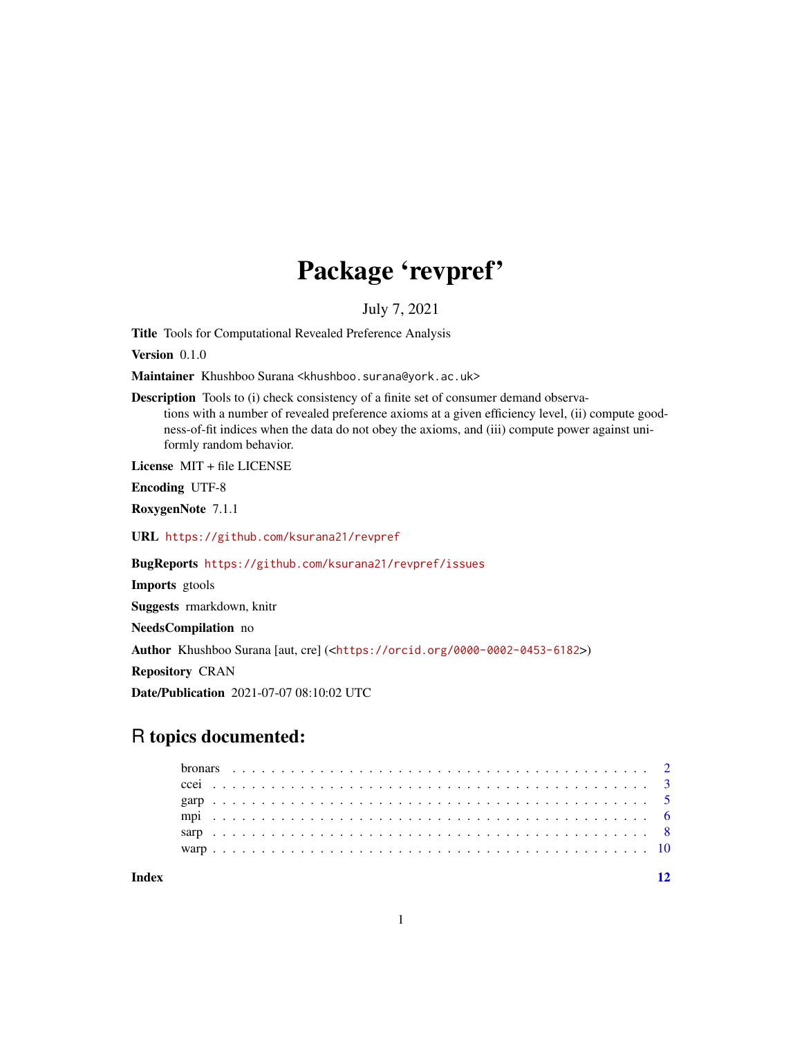## Package 'revpref'

July 7, 2021

Title Tools for Computational Revealed Preference Analysis

Version 0.1.0

Maintainer Khushboo Surana <khushboo.surana@york.ac.uk>

Description Tools to (i) check consistency of a finite set of consumer demand observations with a number of revealed preference axioms at a given efficiency level, (ii) compute goodness-of-fit indices when the data do not obey the axioms, and (iii) compute power against uniformly random behavior.

License MIT + file LICENSE

Encoding UTF-8

RoxygenNote 7.1.1

URL <https://github.com/ksurana21/revpref>

BugReports <https://github.com/ksurana21/revpref/issues>

Imports gtools

Suggests rmarkdown, knitr

NeedsCompilation no

Author Khushboo Surana [aut, cre] (<<https://orcid.org/0000-0002-0453-6182>>)

Repository CRAN

Date/Publication 2021-07-07 08:10:02 UTC

## R topics documented:

**Index** [12](#page-11-0)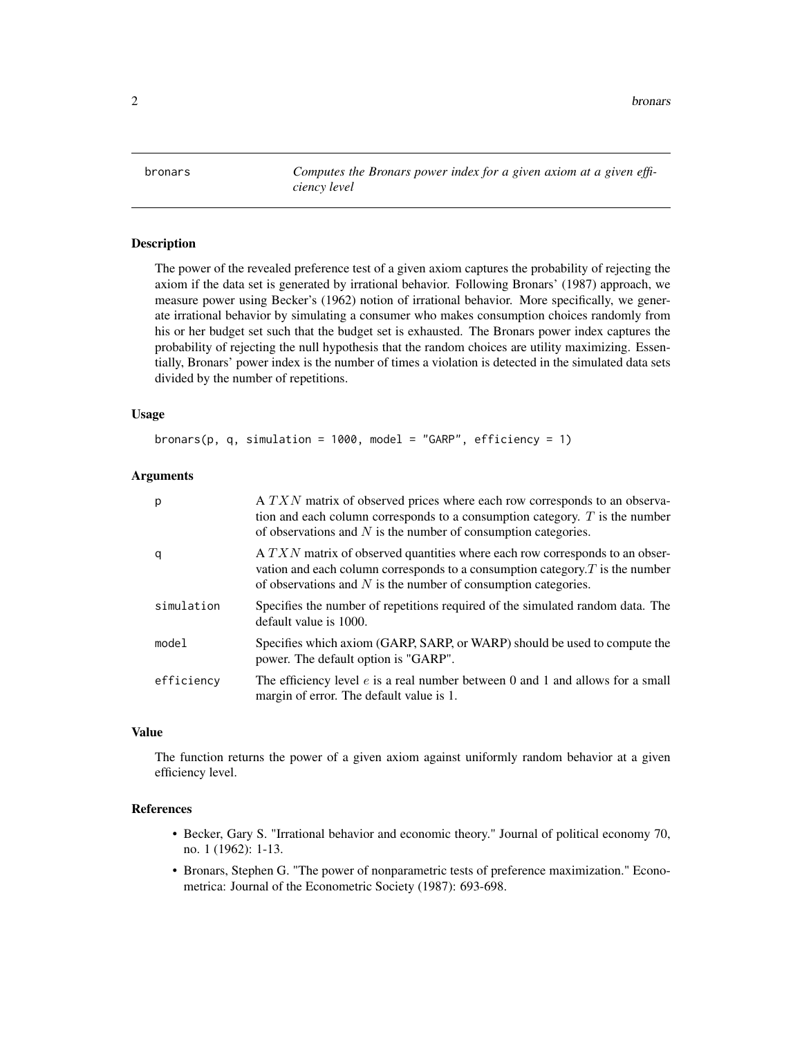<span id="page-1-0"></span>2 bronars and the contract of the contract of the contract of the contract of the contract of the contract of the contract of the contract of the contract of the contract of the contract of the contract of the contract of

bronars *Computes the Bronars power index for a given axiom at a given efficiency level*

#### Description

The power of the revealed preference test of a given axiom captures the probability of rejecting the axiom if the data set is generated by irrational behavior. Following Bronars' (1987) approach, we measure power using Becker's (1962) notion of irrational behavior. More specifically, we generate irrational behavior by simulating a consumer who makes consumption choices randomly from his or her budget set such that the budget set is exhausted. The Bronars power index captures the probability of rejecting the null hypothesis that the random choices are utility maximizing. Essentially, Bronars' power index is the number of times a violation is detected in the simulated data sets divided by the number of repetitions.

#### Usage

```
bronars(p, q, simulation = 1000, model = "GARP", efficiency = 1)
```
#### Arguments

| р          | A TXN matrix of observed prices where each row corresponds to an observa-<br>tion and each column corresponds to a consumption category. $T$ is the number<br>of observations and $N$ is the number of consumption categories.         |
|------------|----------------------------------------------------------------------------------------------------------------------------------------------------------------------------------------------------------------------------------------|
| q          | $A T X N$ matrix of observed quantities where each row corresponds to an obser-<br>vation and each column corresponds to a consumption category. $T$ is the number<br>of observations and $N$ is the number of consumption categories. |
| simulation | Specifies the number of repetitions required of the simulated random data. The<br>default value is 1000.                                                                                                                               |
| model      | Specifies which axiom (GARP, SARP, or WARP) should be used to compute the<br>power. The default option is "GARP".                                                                                                                      |
| efficiency | The efficiency level $e$ is a real number between 0 and 1 and allows for a small<br>margin of error. The default value is 1.                                                                                                           |

#### Value

The function returns the power of a given axiom against uniformly random behavior at a given efficiency level.

#### References

- Becker, Gary S. "Irrational behavior and economic theory." Journal of political economy 70, no. 1 (1962): 1-13.
- Bronars, Stephen G. "The power of nonparametric tests of preference maximization." Econometrica: Journal of the Econometric Society (1987): 693-698.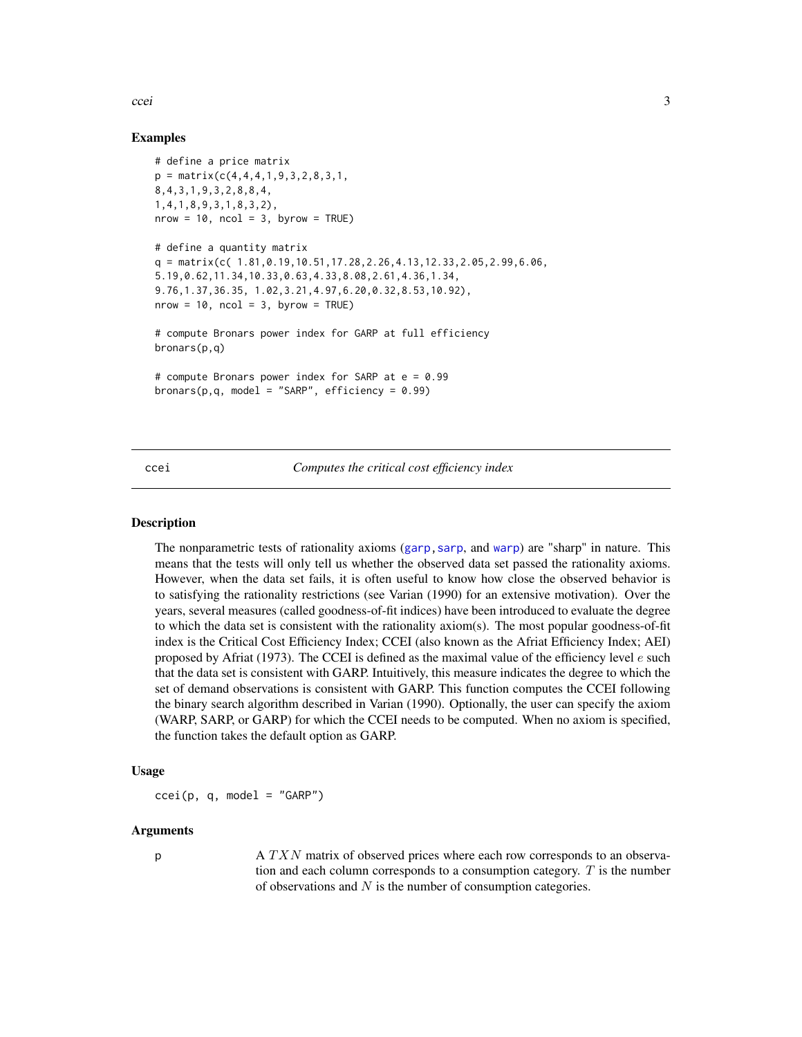<span id="page-2-0"></span>ccei 3 ann an t-ìre ann an t-ìre ann an t-ìre ann an t-ìre ann an t-ìre ann an t-ìre ann an t-ìre ann an t-ìre

#### Examples

```
# define a price matrix
p = matrix(c(4, 4, 4, 1, 9, 3, 2, 8, 3, 1,8,4,3,1,9,3,2,8,8,4,
1,4,1,8,9,3,1,8,3,2),
nrow = 10, ncol = 3, byrow = TRUE)
# define a quantity matrix
q = matrix(c( 1.81, 0.19, 10.51, 17.28, 2.26, 4.13, 12.33, 2.05, 2.99, 6.06,5.19,0.62,11.34,10.33,0.63,4.33,8.08,2.61,4.36,1.34,
9.76,1.37,36.35, 1.02,3.21,4.97,6.20,0.32,8.53,10.92),
nrow = 10, ncol = 3, byrow = TRUE)
# compute Bronars power index for GARP at full efficiency
bronars(p,q)
# compute Bronars power index for SARP at e = 0.99
bronars(p,q, model = "SARP", efficiency = 0.99)
```
#### <span id="page-2-1"></span>ccei *Computes the critical cost efficiency index*

#### Description

The nonparametric tests of rationality axioms ([garp,](#page-4-1)[sarp](#page-7-1), and [warp](#page-9-1)) are "sharp" in nature. This means that the tests will only tell us whether the observed data set passed the rationality axioms. However, when the data set fails, it is often useful to know how close the observed behavior is to satisfying the rationality restrictions (see Varian (1990) for an extensive motivation). Over the years, several measures (called goodness-of-fit indices) have been introduced to evaluate the degree to which the data set is consistent with the rationality axiom(s). The most popular goodness-of-fit index is the Critical Cost Efficiency Index; CCEI (also known as the Afriat Efficiency Index; AEI) proposed by Afriat (1973). The CCEI is defined as the maximal value of the efficiency level  $e$  such that the data set is consistent with GARP. Intuitively, this measure indicates the degree to which the set of demand observations is consistent with GARP. This function computes the CCEI following the binary search algorithm described in Varian (1990). Optionally, the user can specify the axiom (WARP, SARP, or GARP) for which the CCEI needs to be computed. When no axiom is specified, the function takes the default option as GARP.

#### Usage

 $ccei(p, q, model = "GARP")$ 

#### Arguments

p A TXN matrix of observed prices where each row corresponds to an observation and each column corresponds to a consumption category.  $T$  is the number of observations and  $N$  is the number of consumption categories.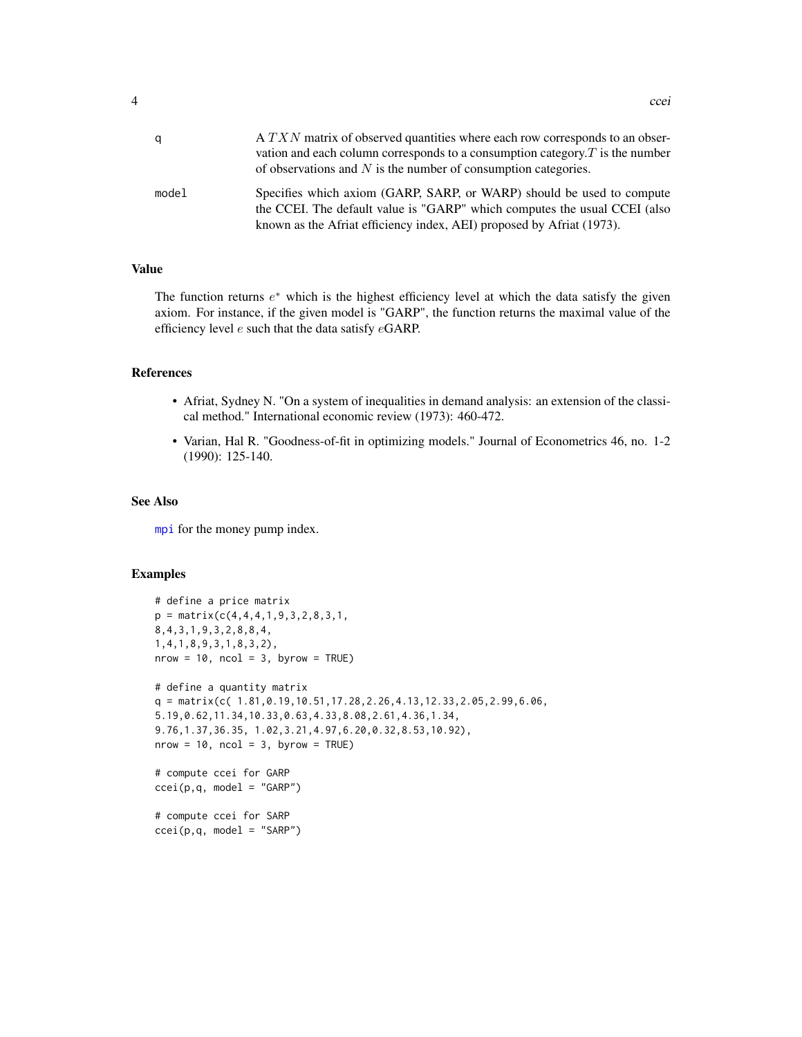<span id="page-3-0"></span>

| q     | A TXN matrix of observed quantities where each row corresponds to an obser-<br>vation and each column corresponds to a consumption category. $T$ is the number<br>of observations and $N$ is the number of consumption categories. |
|-------|------------------------------------------------------------------------------------------------------------------------------------------------------------------------------------------------------------------------------------|
| model | Specifies which axiom (GARP, SARP, or WARP) should be used to compute<br>the CCEI. The default value is "GARP" which computes the usual CCEI (also<br>known as the Afriat efficiency index, AEI) proposed by Afriat (1973).        |

#### Value

The function returns  $e^*$  which is the highest efficiency level at which the data satisfy the given axiom. For instance, if the given model is "GARP", the function returns the maximal value of the efficiency level e such that the data satisfy eGARP.

#### References

- Afriat, Sydney N. "On a system of inequalities in demand analysis: an extension of the classical method." International economic review (1973): 460-472.
- Varian, Hal R. "Goodness-of-fit in optimizing models." Journal of Econometrics 46, no. 1-2 (1990): 125-140.

#### See Also

[mpi](#page-5-1) for the money pump index.

#### Examples

```
# define a price matrix
p = matrix(c(4, 4, 4, 1, 9, 3, 2, 8, 3, 1,8,4,3,1,9,3,2,8,8,4,
1,4,1,8,9,3,1,8,3,2),
nrow = 10, ncol = 3, byrow = TRUE)
# define a quantity matrix
q = matrix(c( 1.81, 0.19, 10.51, 17.28, 2.26, 4.13, 12.33, 2.05, 2.99, 6.06,5.19,0.62,11.34,10.33,0.63,4.33,8.08,2.61,4.36,1.34,
9.76,1.37,36.35, 1.02,3.21,4.97,6.20,0.32,8.53,10.92),
nrow = 10, ncol = 3, byrow = TRUE)
# compute ccei for GARP
ccei(p,q, model = "GARP")# compute ccei for SARP
```
 $ccei(p,q, model = "SARP")$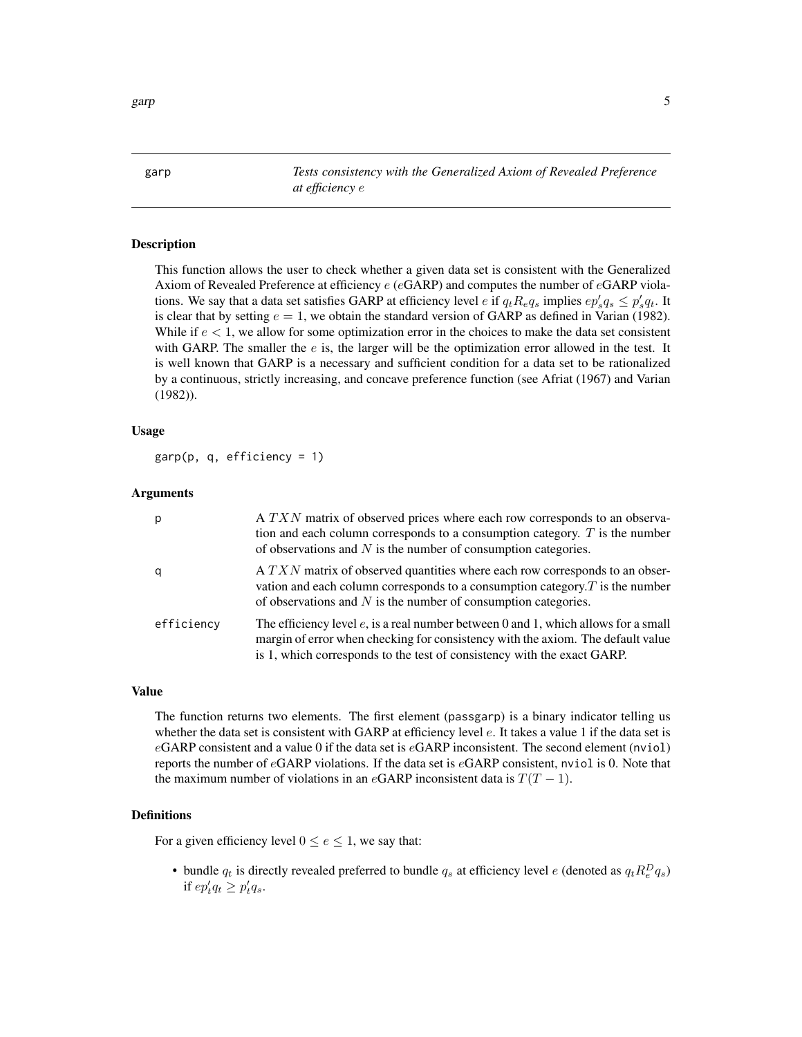<span id="page-4-1"></span><span id="page-4-0"></span>

garp *Tests consistency with the Generalized Axiom of Revealed Preference at efficiency* e

#### Description

This function allows the user to check whether a given data set is consistent with the Generalized Axiom of Revealed Preference at efficiency  $e$  (eGARP) and computes the number of eGARP violations. We say that a data set satisfies GARP at efficiency level  $e$  if  $q_t R_e q_s$  implies  $ep'_s q_s \leq p'_s q_t$ . It is clear that by setting  $e = 1$ , we obtain the standard version of GARP as defined in Varian (1982). While if  $e < 1$ , we allow for some optimization error in the choices to make the data set consistent with GARP. The smaller the  $e$  is, the larger will be the optimization error allowed in the test. It is well known that GARP is a necessary and sufficient condition for a data set to be rationalized by a continuous, strictly increasing, and concave preference function (see Afriat (1967) and Varian (1982)).

#### Usage

 $\text{gap}(p, q, \text{efficiency} = 1)$ 

#### Arguments

| p          | A TXN matrix of observed prices where each row corresponds to an observa-<br>tion and each column corresponds to a consumption category. $T$ is the number<br>of observations and $N$ is the number of consumption categories.                      |
|------------|-----------------------------------------------------------------------------------------------------------------------------------------------------------------------------------------------------------------------------------------------------|
| q          | A TXN matrix of observed quantities where each row corresponds to an obser-<br>vation and each column corresponds to a consumption category. $T$ is the number<br>of observations and $N$ is the number of consumption categories.                  |
| efficiency | The efficiency level $e$ , is a real number between 0 and 1, which allows for a small<br>margin of error when checking for consistency with the axiom. The default value<br>is 1, which corresponds to the test of consistency with the exact GARP. |

#### Value

The function returns two elements. The first element (passgarp) is a binary indicator telling us whether the data set is consistent with GARP at efficiency level e. It takes a value 1 if the data set is  $eGARP$  consistent and a value 0 if the data set is  $eGARP$  inconsistent. The second element (nviol) reports the number of  $e\text{GARP}$  violations. If the data set is  $e\text{GARP}$  consistent, nviol is 0. Note that the maximum number of violations in an eGARP inconsistent data is  $T(T - 1)$ .

#### Definitions

For a given efficiency level  $0 \le e \le 1$ , we say that:

• bundle  $q_t$  is directly revealed preferred to bundle  $q_s$  at efficiency level e (denoted as  $q_t R_e^D q_s$ ) if  $ep'_t q_t \geq p'_t q_s$ .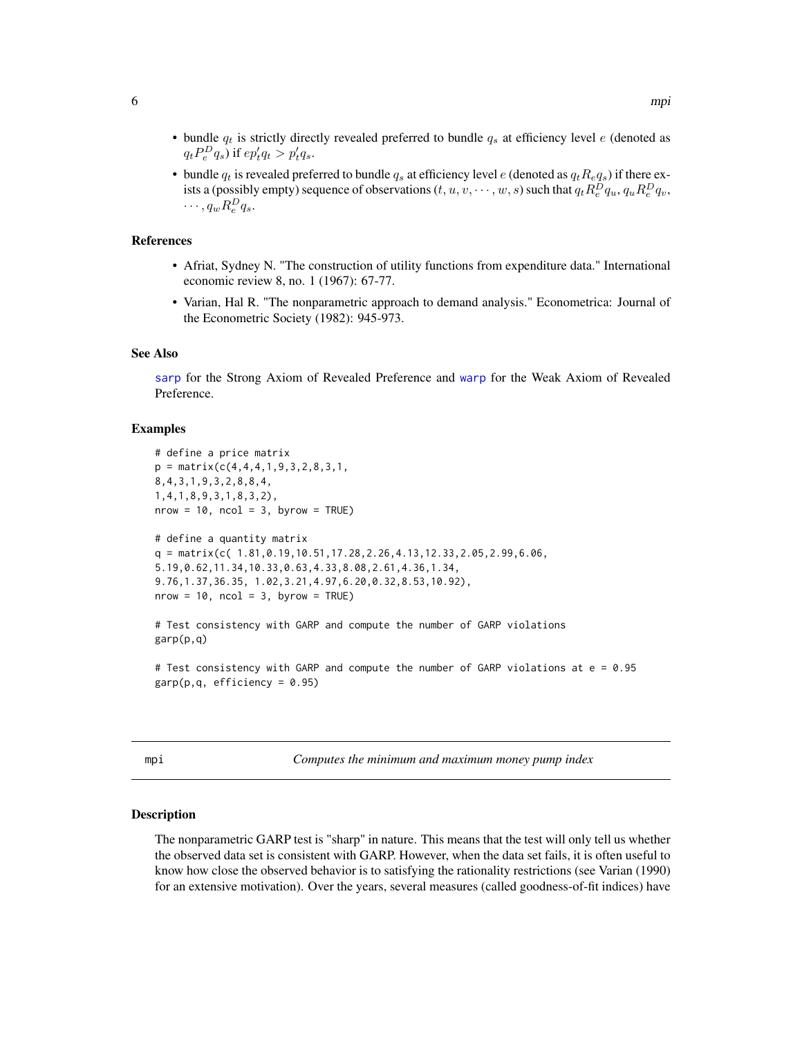<span id="page-5-0"></span>• bundle  $q_t$  is revealed preferred to bundle  $q_s$  at efficiency level e (denoted as  $q_t R_e q_s$ ) if there exists a (possibly empty) sequence of observations  $(t,u,v,\cdots,w,s)$  such that  $q_tR_e^Dq_u, q_uR_e^Dq_v,$  $\cdots$ ,  $q_w R_e^D q_s$ .

#### References

- Afriat, Sydney N. "The construction of utility functions from expenditure data." International economic review 8, no. 1 (1967): 67-77.
- Varian, Hal R. "The nonparametric approach to demand analysis." Econometrica: Journal of the Econometric Society (1982): 945-973.

#### See Also

[sarp](#page-7-1) for the Strong Axiom of Revealed Preference and [warp](#page-9-1) for the Weak Axiom of Revealed Preference.

#### Examples

```
# define a price matrix
p = matrix(c(4, 4, 4, 1, 9, 3, 2, 8, 3, 1,8,4,3,1,9,3,2,8,8,4,
1,4,1,8,9,3,1,8,3,2),
nrow = 10, ncol = 3, byrow = TRUE)
# define a quantity matrix
q = matrix(c( 1.81, 0.19, 10.51, 17.28, 2.26, 4.13, 12.33, 2.05, 2.99, 6.06,5.19,0.62,11.34,10.33,0.63,4.33,8.08,2.61,4.36,1.34,
9.76,1.37,36.35, 1.02,3.21,4.97,6.20,0.32,8.53,10.92),
nrow = 10, ncol = 3, byrow = TRUE)
# Test consistency with GARP and compute the number of GARP violations
garp(p,q)
# Test consistency with GARP and compute the number of GARP violations at e = 0.95
garp(p,q, efficiency = 0.95)
```
<span id="page-5-1"></span>

|  | ۰,<br>$\sim$ |  |
|--|--------------|--|
|  |              |  |

i *Computes the minimum and maximum money pump index* 

### Description

The nonparametric GARP test is "sharp" in nature. This means that the test will only tell us whether the observed data set is consistent with GARP. However, when the data set fails, it is often useful to know how close the observed behavior is to satisfying the rationality restrictions (see Varian (1990) for an extensive motivation). Over the years, several measures (called goodness-of-fit indices) have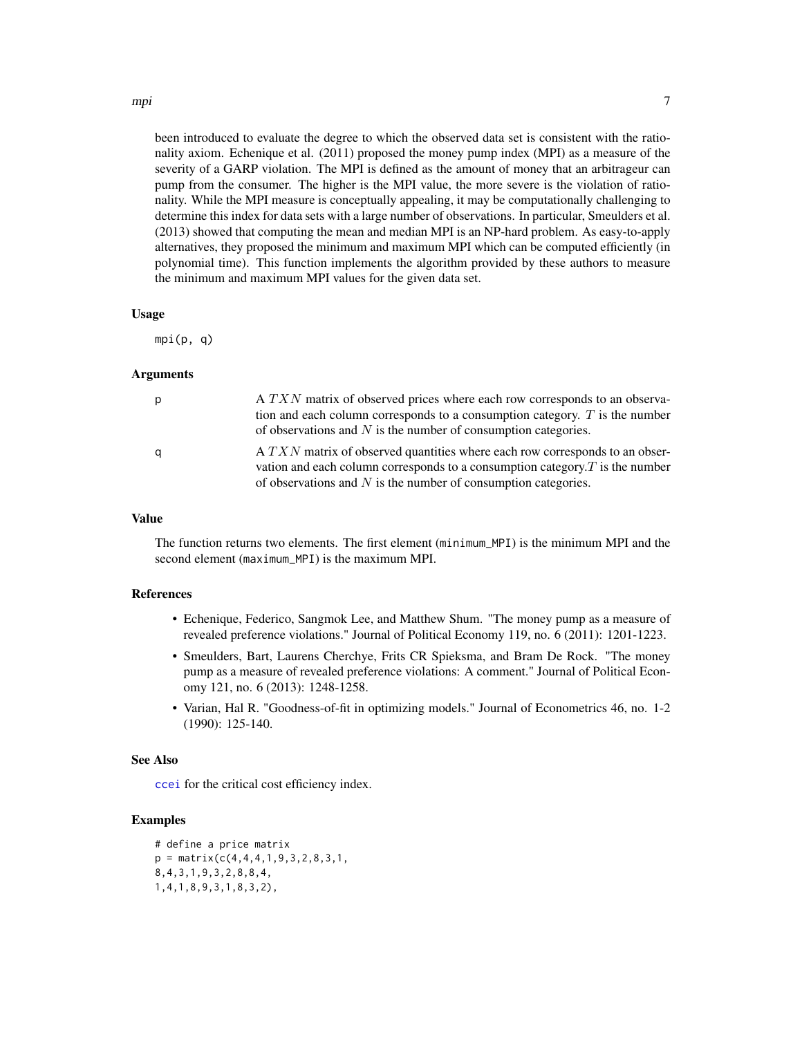#### <span id="page-6-0"></span>mpi 2008 - 2008 - 2008 - 2008 - 2008 - 2008 - 2008 - 2008 - 2008 - 2008 - 2008 - 2008 - 2008 - 2008 - 2008 - 2<br>Digwyddiadau

pump from the consumer. The higher is the MPI value, the more severe is the violation of rationality. While the MPI measure is conceptually appealing, it may be computationally challenging to determine this index for data sets with a large number of observations. In particular, Smeulders et al. (2013) showed that computing the mean and median MPI is an NP-hard problem. As easy-to-apply alternatives, they proposed the minimum and maximum MPI which can be computed efficiently (in polynomial time). This function implements the algorithm provided by these authors to measure the minimum and maximum MPI values for the given data set.

#### Usage

 $mpi(p, q)$ 

#### Arguments

| p | A TXN matrix of observed prices where each row corresponds to an observa-<br>tion and each column corresponds to a consumption category. $T$ is the number<br>of observations and $N$ is the number of consumption categories.     |
|---|------------------------------------------------------------------------------------------------------------------------------------------------------------------------------------------------------------------------------------|
| q | A TXN matrix of observed quantities where each row corresponds to an obser-<br>vation and each column corresponds to a consumption category. $T$ is the number<br>of observations and $N$ is the number of consumption categories. |

#### Value

The function returns two elements. The first element (minimum\_MPI) is the minimum MPI and the second element (maximum\_MPI) is the maximum MPI.

#### References

- Echenique, Federico, Sangmok Lee, and Matthew Shum. "The money pump as a measure of revealed preference violations." Journal of Political Economy 119, no. 6 (2011): 1201-1223.
- Smeulders, Bart, Laurens Cherchye, Frits CR Spieksma, and Bram De Rock. "The money pump as a measure of revealed preference violations: A comment." Journal of Political Economy 121, no. 6 (2013): 1248-1258.
- Varian, Hal R. "Goodness-of-fit in optimizing models." Journal of Econometrics 46, no. 1-2 (1990): 125-140.

#### See Also

[ccei](#page-2-1) for the critical cost efficiency index.

#### Examples

```
# define a price matrix
p = matrix(c(4, 4, 4, 1, 9, 3, 2, 8, 3, 1,8,4,3,1,9,3,2,8,8,4,
1,4,1,8,9,3,1,8,3,2),
```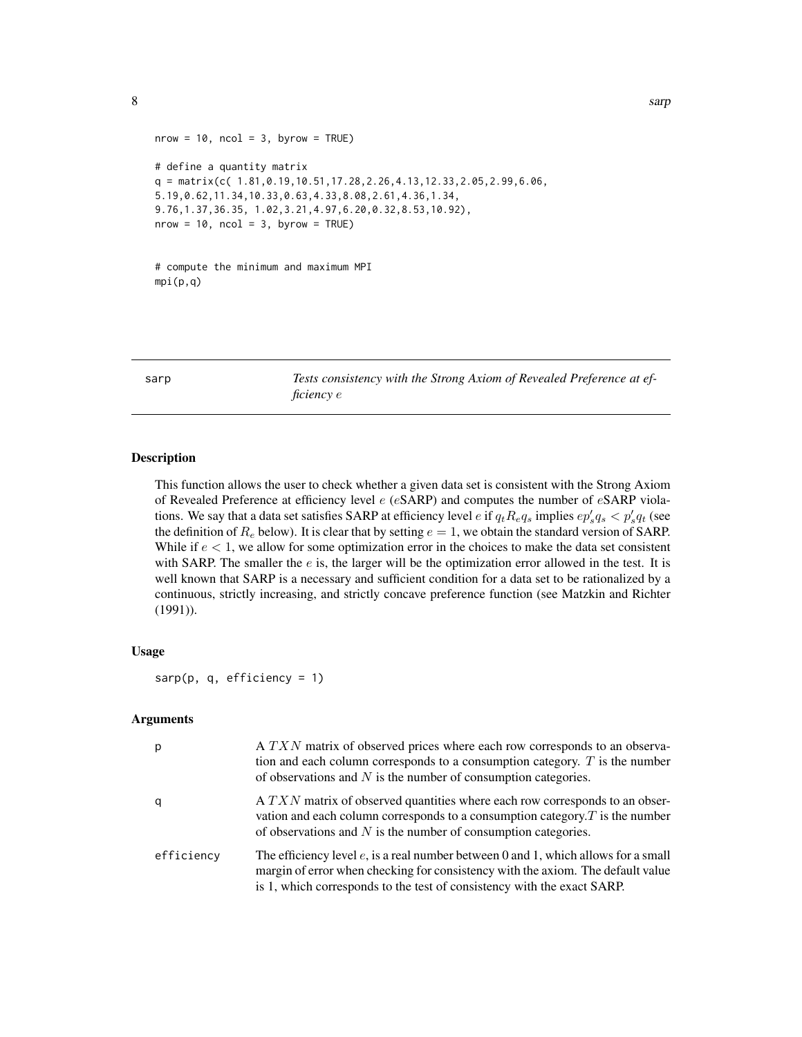```
nrow = 10, ncol = 3, byrow = TRUE)
# define a quantity matrix
q = matrix(c( 1.81, 0.19, 10.51, 17.28, 2.26, 4.13, 12.33, 2.05, 2.99, 6.06,5.19,0.62,11.34,10.33,0.63,4.33,8.08,2.61,4.36,1.34,
9.76,1.37,36.35, 1.02,3.21,4.97,6.20,0.32,8.53,10.92),
nrow = 10, ncol = 3, byrow = TRUE)
```

```
# compute the minimum and maximum MPI
mpi(p,q)
```
<span id="page-7-1"></span>sarp *Tests consistency with the Strong Axiom of Revealed Preference at efficiency* e

#### Description

This function allows the user to check whether a given data set is consistent with the Strong Axiom of Revealed Preference at efficiency level  $e$  (eSARP) and computes the number of eSARP violations. We say that a data set satisfies SARP at efficiency level  $e$  if  $q_t R_e q_s$  implies  $ep'_s q_s < p'_s q_t$  (see the definition of  $R_e$  below). It is clear that by setting  $e = 1$ , we obtain the standard version of SARP. While if  $e < 1$ , we allow for some optimization error in the choices to make the data set consistent with SARP. The smaller the  $e$  is, the larger will be the optimization error allowed in the test. It is well known that SARP is a necessary and sufficient condition for a data set to be rationalized by a continuous, strictly increasing, and strictly concave preference function (see Matzkin and Richter (1991)).

#### Usage

```
sarp(p, q, efficiency = 1)
```
#### Arguments

| p          | A TXN matrix of observed prices where each row corresponds to an observa-<br>tion and each column corresponds to a consumption category. $T$ is the number<br>of observations and $N$ is the number of consumption categories.                      |
|------------|-----------------------------------------------------------------------------------------------------------------------------------------------------------------------------------------------------------------------------------------------------|
| q          | $A T X N$ matrix of observed quantities where each row corresponds to an obser-<br>vation and each column corresponds to a consumption category. $T$ is the number<br>of observations and $N$ is the number of consumption categories.              |
| efficiency | The efficiency level $e$ , is a real number between 0 and 1, which allows for a small<br>margin of error when checking for consistency with the axiom. The default value<br>is 1, which corresponds to the test of consistency with the exact SARP. |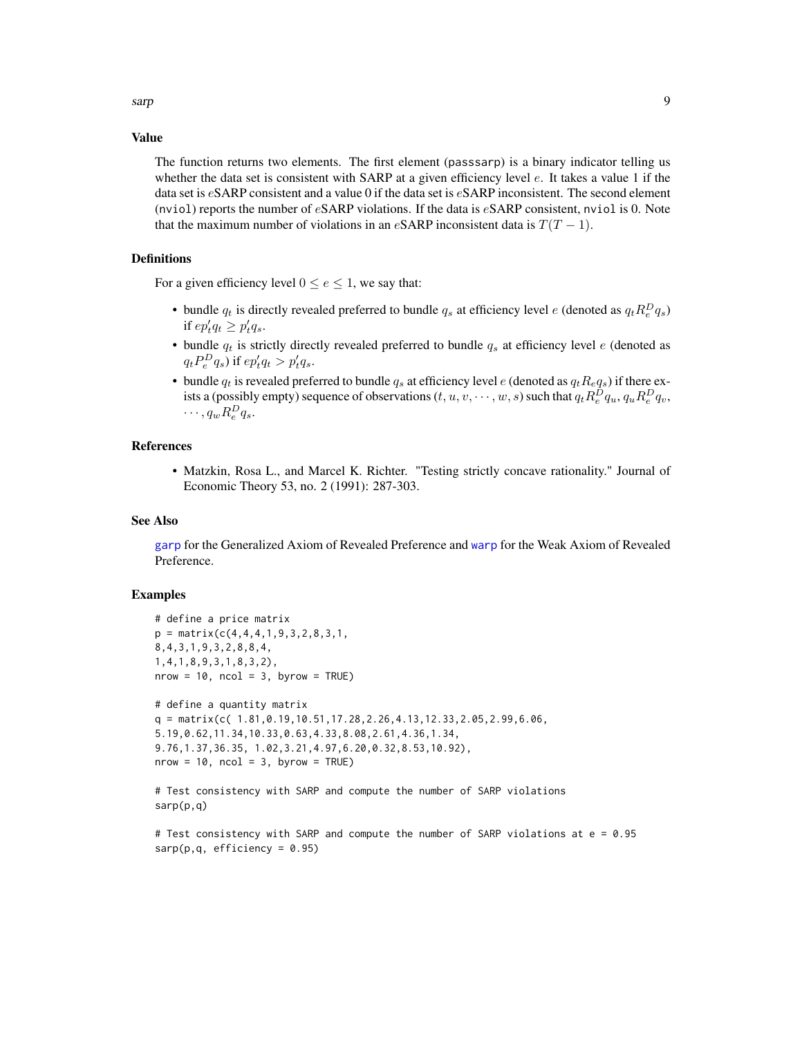<span id="page-8-0"></span>sarp 99 and 2012 the same same state of the state of the state of the state of the state of the state of the state of the state of the state of the state of the state of the state of the state of the state of the state of

#### Value

The function returns two elements. The first element (passsarp) is a binary indicator telling us whether the data set is consistent with SARP at a given efficiency level e. It takes a value 1 if the data set is eSARP consistent and a value 0 if the data set is eSARP inconsistent. The second element (nviol) reports the number of  $e$ SARP violations. If the data is  $e$ SARP consistent, nviol is 0. Note that the maximum number of violations in an eSARP inconsistent data is  $T(T - 1)$ .

#### Definitions

For a given efficiency level  $0 \le e \le 1$ , we say that:

- bundle  $q_t$  is directly revealed preferred to bundle  $q_s$  at efficiency level e (denoted as  $q_t R_e^D q_s$ ) if  $ep'_t q_t \geq p'_t q_s$ .
- bundle  $q_t$  is strictly directly revealed preferred to bundle  $q_s$  at efficiency level  $e$  (denoted as  $q_t P_e^D q_s$ ) if  $ep'_t q_t > p'_t q_s$ .
- bundle  $q_t$  is revealed preferred to bundle  $q_s$  at efficiency level e (denoted as  $q_t R_e q_s$ ) if there exists a (possibly empty) sequence of observations  $(t,u,v,\cdots,w,s)$  such that  $q_tR_e^Dq_u,q_uR_e^Dq_v,$  $\cdots$ ,  $q_w R_e^D q_s$ .

#### References

• Matzkin, Rosa L., and Marcel K. Richter. "Testing strictly concave rationality." Journal of Economic Theory 53, no. 2 (1991): 287-303.

#### See Also

[garp](#page-4-1) for the Generalized Axiom of Revealed Preference and [warp](#page-9-1) for the Weak Axiom of Revealed Preference.

#### Examples

```
# define a price matrix
p = matrix(c(4, 4, 4, 1, 9, 3, 2, 8, 3, 1,8,4,3,1,9,3,2,8,8,4,
1,4,1,8,9,3,1,8,3,2),
nrow = 10, ncol = 3, byrow = TRUE)
# define a quantity matrix
q = matrix(c( 1.81, 0.19, 10.51, 17.28, 2.26, 4.13, 12.33, 2.05, 2.99, 6.06,5.19,0.62,11.34,10.33,0.63,4.33,8.08,2.61,4.36,1.34,
9.76,1.37,36.35, 1.02,3.21,4.97,6.20,0.32,8.53,10.92),
nrow = 10, ncol = 3, byrow = TRUE)
# Test consistency with SARP and compute the number of SARP violations
```

```
sarp(p,q)
```

```
# Test consistency with SARP and compute the number of SARP violations at e = 0.95
sarp(p,q, efficient) = 0.95)
```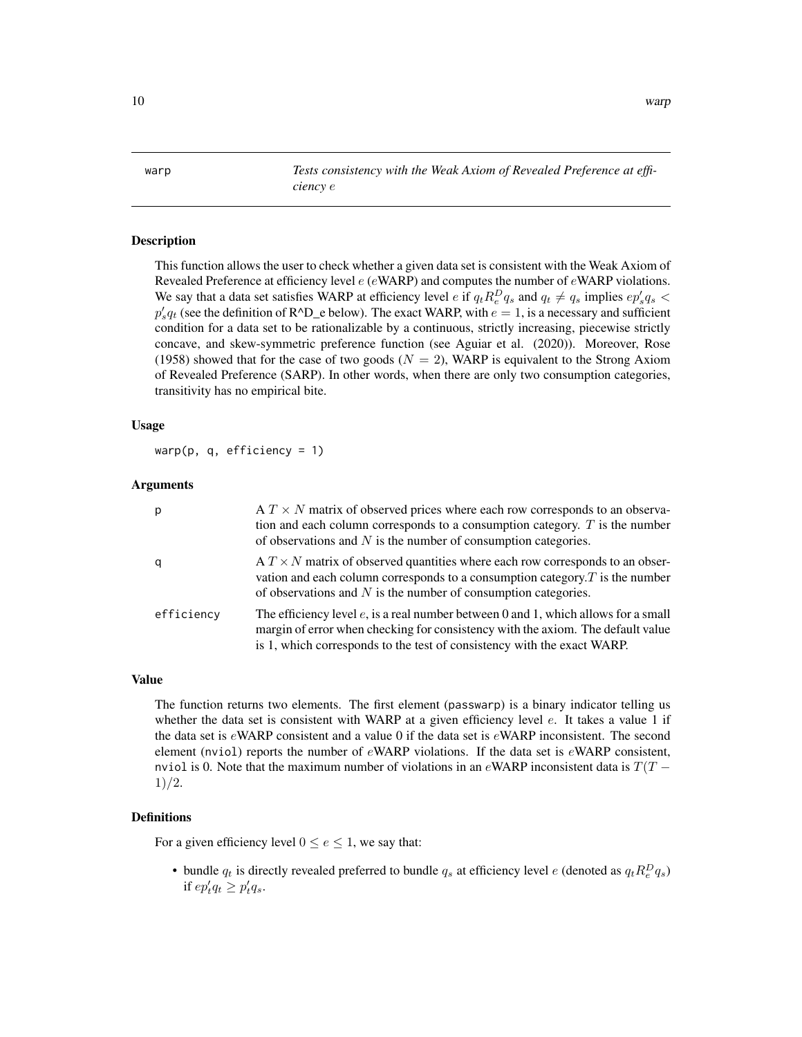<span id="page-9-1"></span><span id="page-9-0"></span>warp *Tests consistency with the Weak Axiom of Revealed Preference at efficiency* e

#### Description

This function allows the user to check whether a given data set is consistent with the Weak Axiom of Revealed Preference at efficiency level  $e$  (eWARP) and computes the number of eWARP violations. We say that a data set satisfies WARP at efficiency level e if  $q_t R_e^D q_s$  and  $q_t \neq q_s$  implies  $ep'_s q_s$  $p'_s q_t$  (see the definition of R^D\_e below). The exact WARP, with  $e = 1$ , is a necessary and sufficient condition for a data set to be rationalizable by a continuous, strictly increasing, piecewise strictly concave, and skew-symmetric preference function (see Aguiar et al. (2020)). Moreover, Rose (1958) showed that for the case of two goods ( $N = 2$ ), WARP is equivalent to the Strong Axiom of Revealed Preference (SARP). In other words, when there are only two consumption categories, transitivity has no empirical bite.

#### Usage

warp(p,  $q$ , efficiency = 1)

#### Arguments

| p          | $A T \times N$ matrix of observed prices where each row corresponds to an observa-<br>tion and each column corresponds to a consumption category. $T$ is the number<br>of observations and $N$ is the number of consumption categories.          |
|------------|--------------------------------------------------------------------------------------------------------------------------------------------------------------------------------------------------------------------------------------------------|
| q          | $A T \times N$ matrix of observed quantities where each row corresponds to an obser-<br>vation and each column corresponds to a consumption category. $T$ is the number<br>of observations and $N$ is the number of consumption categories.      |
| efficiency | The efficiency level e, is a real number between 0 and 1, which allows for a small<br>margin of error when checking for consistency with the axiom. The default value<br>is 1, which corresponds to the test of consistency with the exact WARP. |

#### Value

The function returns two elements. The first element (passwarp) is a binary indicator telling us whether the data set is consistent with WARP at a given efficiency level e. It takes a value 1 if the data set is  $e$ WARP consistent and a value 0 if the data set is  $e$ WARP inconsistent. The second element (nviol) reports the number of  $e$ WARP violations. If the data set is  $e$ WARP consistent, nviol is 0. Note that the maximum number of violations in an eWARP inconsistent data is  $T(T -$ 1)/2.

#### Definitions

For a given efficiency level  $0 \le e \le 1$ , we say that:

• bundle  $q_t$  is directly revealed preferred to bundle  $q_s$  at efficiency level e (denoted as  $q_t R_e^D q_s$ ) if  $ep'_t q_t \geq p'_t q_s$ .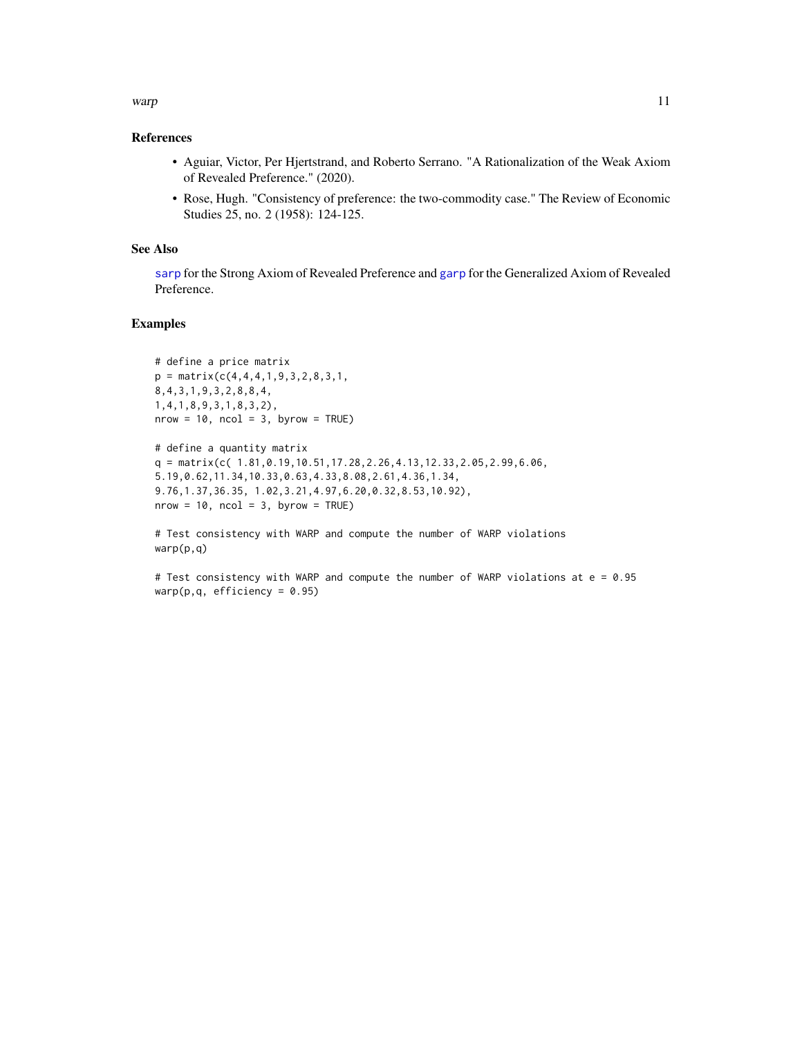#### <span id="page-10-0"></span>warp the contract of the contract of the contract of the contract of the contract of the contract of the contract of the contract of the contract of the contract of the contract of the contract of the contract of the contr

#### References

- Aguiar, Victor, Per Hjertstrand, and Roberto Serrano. "A Rationalization of the Weak Axiom of Revealed Preference." (2020).
- Rose, Hugh. "Consistency of preference: the two-commodity case." The Review of Economic Studies 25, no. 2 (1958): 124-125.

#### See Also

[sarp](#page-7-1) for the Strong Axiom of Revealed Preference and [garp](#page-4-1) for the Generalized Axiom of Revealed Preference.

#### Examples

```
# define a price matrix
p = matrix(c(4, 4, 4, 1, 9, 3, 2, 8, 3, 1,8,4,3,1,9,3,2,8,8,4,
1,4,1,8,9,3,1,8,3,2),
nrow = 10, ncol = 3, byrow = TRUE)
```

```
# define a quantity matrix
q = matrix(c( 1.81, 0.19, 10.51, 17.28, 2.26, 4.13, 12.33, 2.05, 2.99, 6.06,5.19,0.62,11.34,10.33,0.63,4.33,8.08,2.61,4.36,1.34,
9.76,1.37,36.35, 1.02,3.21,4.97,6.20,0.32,8.53,10.92),
nrow = 10, ncol = 3, byrow = TRUE)
```
# Test consistency with WARP and compute the number of WARP violations warp(p,q)

# Test consistency with WARP and compute the number of WARP violations at e = 0.95 warp(p,q, efficiency =  $0.95$ )